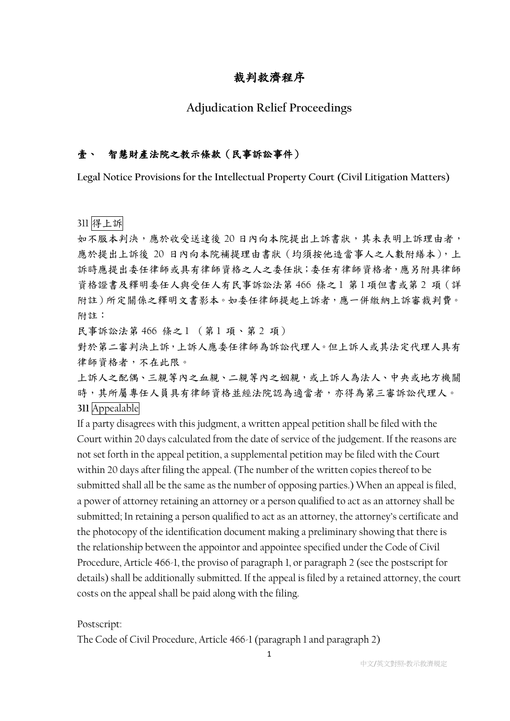## 裁判救濟程序

### **Adjudication Relief Proceedings**

#### 壹、 智慧財產法院之教示條款(民事訴訟事件)

**Legal Notice Provisions for the Intellectual Property Court (Civil Litigation Matters)**

311 得上訴

如不服本判決,應於收受送達後 20 日內向本院提出上訴書狀,其未表明上訴理由者, 應於提出上訴後 20 日內向本院補提理由書狀 (均須按他造當事人之人數附繕本),上 訴時應提出委任律師或具有律師資格之人之委任狀;委任有律師資格者,應另附具律師 資格證書及釋明委任人與受任人有民事訴訟法第 466 條之1 第1項但書或第2 項 (詳 附註)所定關係之釋明文書影本。如委任律師提起上訴者,應一併繳納上訴審裁判費。 附註:

民事訴訟法第 466 條之1 (第1 項、第2 項)

對於第二審判決上訴,上訴人應委任律師為訴訟代理人。但上訴人或其法定代理人具有 律師資格者,不在此限。

上訴人之配偶、三親等內之知親,或上訴人為法人、中央或地方機關 時,其所屬專任人員具有律師資格並經法院認為適當者,亦得為第三審訴訟代理人。 **311** Appealable

If a party disagrees with this judgment, a written appeal petition shall be filed with the Court within 20 days calculated from the date of service of the judgement. If the reasons are not set forth in the appeal petition, a supplemental petition may be filed with the Court within 20 days after filing the appeal. (The number of the written copies thereof to be submitted shall all be the same as the number of opposing parties.) When an appeal is filed, a power of attorney retaining an attorney or a person qualified to act as an attorney shall be submitted; In retaining a person qualified to act as an attorney, the attorney's certificate and the photocopy of the identification document making a preliminary showing that there is the relationship between the appointor and appointee specified under the Code of Civil Procedure, Article 466-1, the proviso of paragraph 1, or paragraph 2 (see the postscript for details) shall be additionally submitted. If the appeal is filed by a retained attorney, the court costs on the appeal shall be paid along with the filing.

Postscript:

The Code of Civil Procedure, Article 466-1 (paragraph 1 and paragraph 2)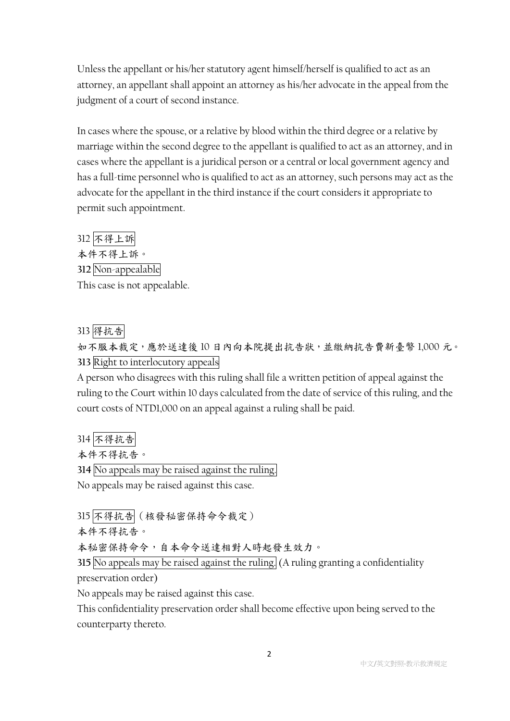Unless the appellant or his/her statutory agent himself/herself is qualified to act as an attorney, an appellant shall appoint an attorney as his/her advocate in the appeal from the judgment of a court of second instance.

In cases where the spouse, or a relative by blood within the third degree or a relative by marriage within the second degree to the appellant is qualified to act as an attorney, and in cases where the appellant is a juridical person or a central or local government agency and has a full-time personnel who is qualified to act as an attorney, such persons may act as the advocate for the appellant in the third instance if the court considers it appropriate to permit such appointment.

312 不得上訴 本件不得上訴。 **312** Non-appealable This case is not appealable.

# 313 得抗告

如不服本裁定,應於送達後 10 日內向本院提出抗告狀,並繳納抗告費新臺幣 1,000 元。 **313** Right to interlocutory appeals

A person who disagrees with this ruling shall file a written petition of appeal against the ruling to the Court within 10 days calculated from the date of service of this ruling, and the court costs of NTD1,000 on an appeal against a ruling shall be paid.

314 不得抗告

本件不得抗告。

**314** No appeals may be raised against the ruling.

No appeals may be raised against this case.

315 不得抗告(核發秘密保持命令裁定)

本件不得抗告。

本秘密保持命令,自本命令送達相對人時起發生效力。

**315** No appeals may be raised against the ruling. (A ruling granting a confidentiality preservation order)

No appeals may be raised against this case.

This confidentiality preservation order shall become effective upon being served to the counterparty thereto.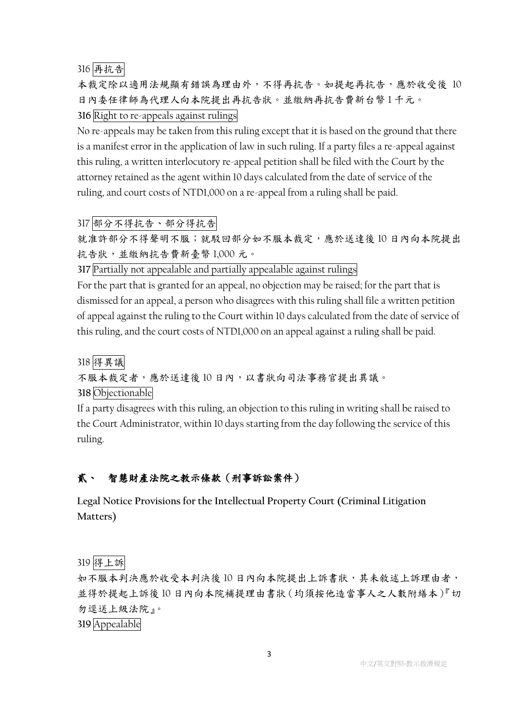316 再抗告

本裁定除以適用法規顯有錯誤為理由外,不得再抗告。如提起再抗告,應於收受後 10 日內委任律師為代理人向本院提出再抗告狀。並繳納再抗告費新台幣 1 千元。

**316** Right to re-appeals against rulings

No re-appeals may be taken from this ruling except that it is based on the ground that there is a manifest error in the application of law in such ruling. If a party files a re-appeal against this ruling, a written interlocutory re-appeal petition shall be filed with the Court by the attorney retained as the agent within 10 days calculated from the date of service of the ruling, and court costs of NTD1,000 on a re-appeal from a ruling shall be paid.

317 部分不得抗告、部分得抗告

就准許部分不得聲明不服;就駁回部分如不服本裁定,應於送達後 10 日內向本院提出 抗告狀,並繳納抗告費新臺幣 1,000 元。

**317** Partially not appealable and partially appealable against rulings

For the part that is granted for an appeal, no objection may be raised; for the part that is dismissed for an appeal, a person who disagrees with this ruling shall file a written petition of appeal against the ruling to the Court within 10 days calculated from the date of service of this ruling, and the court costs of NTD1,000 on an appeal against a ruling shall be paid.

318 得異議 不服本裁定者,應於送達後10日內,以書狀向司法事務官提出異議。 **318** Objectionable

If a party disagrees with this ruling, an objection to this ruling in writing shall be raised to the Court Administrator, within 10 days starting from the day following the service of this ruling.

# 貳、 智慧財產法院之教示條款(刑事訴訟案件)

**Legal Notice Provisions for the Intellectual Property Court (Criminal Litigation Matters)**

319 得上訴

如不服本判決應於收受本判決後 10 日內向本院提出上訴書狀,其未敘述上訴理由者, 並得於提起上訴後 10 日內向本院補提理由書狀(均須按他造當事人之人數附繕本)『切 勿逕送上級法院』。

**319** Appealable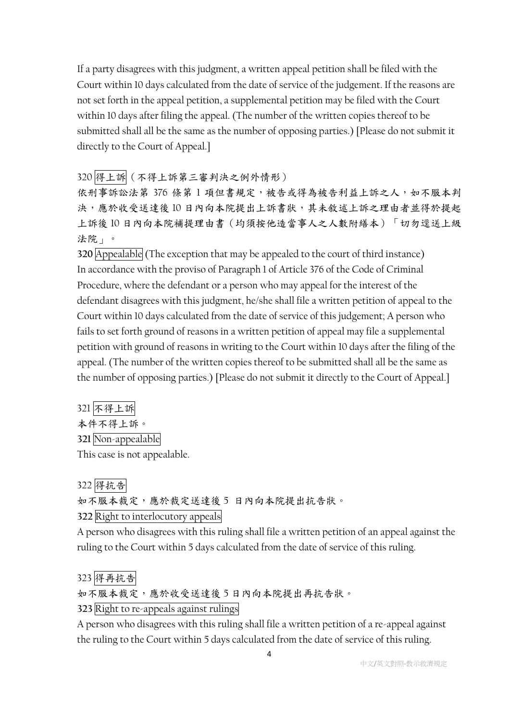If a party disagrees with this judgment, a written appeal petition shall be filed with the Court within 10 days calculated from the date of service of the judgement. If the reasons are not set forth in the appeal petition, a supplemental petition may be filed with the Court within 10 days after filing the appeal. (The number of the written copies thereof to be submitted shall all be the same as the number of opposing parties.) [Please do not submit it directly to the Court of Appeal.]

320 得上訴(不得上訴第三審判決之例外情形)

依刑事訴訟法第 376 條第1項但書規定,被告或得為被告利益上訴之人,如不服本判 決,應於收受送達後10日內向本院提出上訴書狀,其未敘述上訴之理由者並得於提起 上訴後 10 日內向本院補提理由書(均須按他造當事人之人數附繕本)「切勿逕送上級 法院」。

**320** Appealable (The exception that may be appealed to the court of third instance) In accordance with the proviso of Paragraph 1 of Article 376 of the Code of Criminal Procedure, where the defendant or a person who may appeal for the interest of the defendant disagrees with this judgment, he/she shall file a written petition of appeal to the Court within 10 days calculated from the date of service of this judgement; A person who fails to set forth ground of reasons in a written petition of appeal may file a supplemental petition with ground of reasons in writing to the Court within 10 days after the filing of the appeal. (The number of the written copies thereof to be submitted shall all be the same as the number of opposing parties.) [Please do not submit it directly to the Court of Appeal.]

321 不得上訴 本件不得上訴。 **321** Non-appealable This case is not appealable.

322 得抗告 如不服本裁定,應於裁定送達後 5 日內向本院提出抗告狀。 **322** Right to interlocutory appeals

A person who disagrees with this ruling shall file a written petition of an appeal against the ruling to the Court within 5 days calculated from the date of service of this ruling.

323 得再抗告

如不服本裁定,應於收受送達後 5 日內向本院提出再抗告狀。

**323** Right to re-appeals against rulings

A person who disagrees with this ruling shall file a written petition of a re-appeal against the ruling to the Court within 5 days calculated from the date of service of this ruling.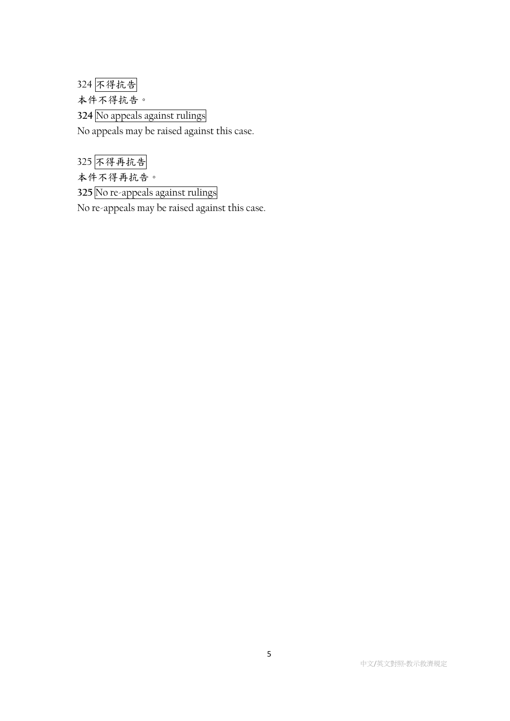324 不得抗告

本件不得抗告。

**324** No appeals against rulings

No appeals may be raised against this case.

325 不得再抗告

本件不得再抗告。

**325** No re-appeals against rulings

No re-appeals may be raised against this case.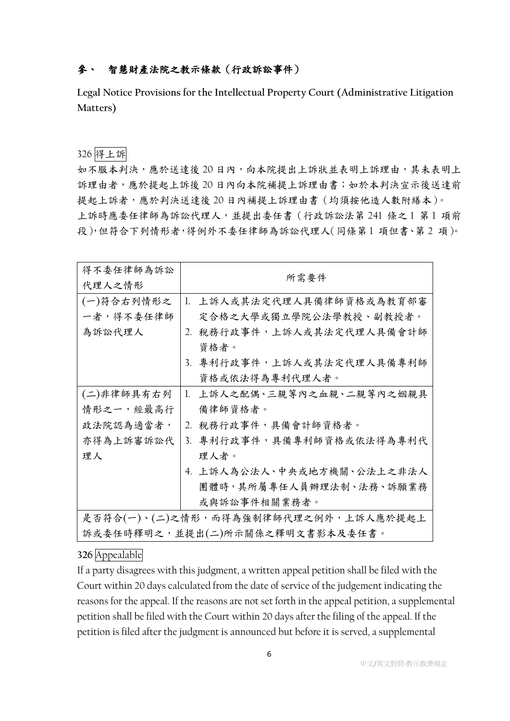## 參、 智慧財產法院之教示條款(行政訴訟事件)

**Legal Notice Provisions for the Intellectual Property Court (Administrative Litigation Matters)**

### 326 得上訴

如不服本判決,應於送達後 20 日內,向本院提出上訴狀並表明上訴理由,其未表明上 訴理由者,應於提起上訴後 20 日內向本院補提上訴理由書;如於本判決宣示後送達前 提起上訴者,應於判決送達後20日內補提上訴理由書(均須按他造人數附繕本)。 上訴時應委任律師為訴訟代理人,並提出委任書(行政訴訟法第 241 條之 1 第 1 項前 段),但符合下列情形者,得例外不委任律師為訴訟代理人(同條第 1 項但書、第 2 項)。

| 得不委任律師為訴訟                            |                            |  |  |
|--------------------------------------|----------------------------|--|--|
| 代理人之情形                               | 所需要件                       |  |  |
| (一)符合右列情形之                           | 1. 上訴人或其法定代理人具備律師資格或為教育部審  |  |  |
| 一者,得不委任律師                            | 定合格之大學或獨立學院公法學教授、副教授者。     |  |  |
| 為訴訟代理人                               | 2. 税務行政事件,上訴人或其法定代理人具備會計師  |  |  |
|                                      | 資格者。                       |  |  |
|                                      | 3. 專利行政事件,上訴人或其法定代理人具備專利師  |  |  |
|                                      | 資格或依法得為專利代理人者。             |  |  |
| (二)非律師具有右列                           | 1. 上訴人之配偶、三親等內之血親、二親等內之姻親具 |  |  |
| 情形之一,經最高行                            | 備律師資格者。                    |  |  |
| 政法院認為適當者,                            | 2. 稅務行政事件,具備會計師資格者。        |  |  |
| 亦得為上訴審訴訟代                            | 3. 專利行政事件,具備專利師資格或依法得為專利代  |  |  |
| 理人                                   | 理人者。                       |  |  |
|                                      | 4. 上訴人為公法人、中央或地方機關、公法上之非法人 |  |  |
|                                      | 團體時,其所屬專任人員辦理法制、法務、訴願業務    |  |  |
|                                      | 或與訴訟事件相關業務者。               |  |  |
| 是否符合(一)、(二)之情形,而得為強制律師代理之例外,上訴人應於提起上 |                            |  |  |
| 訴或委任時釋明之,並提出(二)所示關係之釋明文書影本及委任書。      |                            |  |  |

#### **326** Appealable

If a party disagrees with this judgment, a written appeal petition shall be filed with the Court within 20 days calculated from the date of service of the judgement indicating the reasons for the appeal. If the reasons are not set forth in the appeal petition, a supplemental petition shall be filed with the Court within 20 days after the filing of the appeal. If the petition is filed after the judgment is announced but before it is served, a supplemental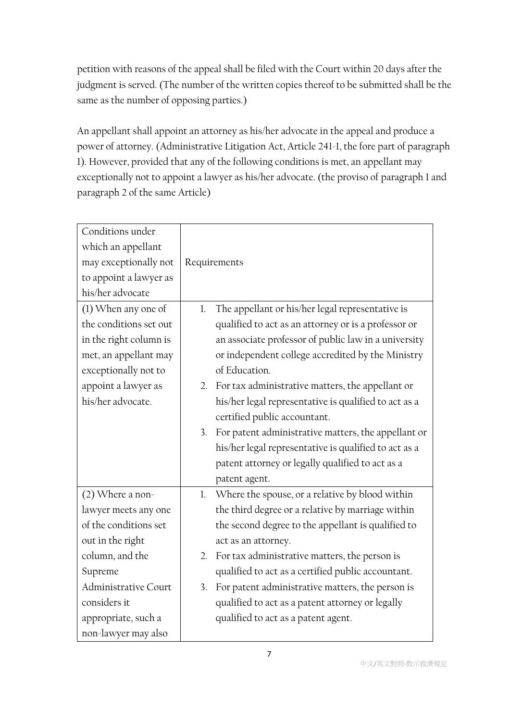petition with reasons of the appeal shall be filed with the Court within 20 days after the judgment is served. (The number of the written copies thereof to be submitted shall be the same as the number of opposing parties.)

An appellant shall appoint an attorney as his/her advocate in the appeal and produce a power of attorney. (Administrative Litigation Act, Article 241-1, the fore part of paragraph 1). However, provided that any of the following conditions is met, an appellant may exceptionally not to appoint a lawyer as his/her advocate. (the proviso of paragraph 1 and paragraph 2 of the same Article)

| Conditions under       |    |                                                       |
|------------------------|----|-------------------------------------------------------|
| which an appellant     |    |                                                       |
| may exceptionally not  |    | Requirements                                          |
| to appoint a lawyer as |    |                                                       |
| his/her advocate       |    |                                                       |
| (1) When any one of    | 1. | The appellant or his/her legal representative is      |
| the conditions set out |    | qualified to act as an attorney or is a professor or  |
| in the right column is |    | an associate professor of public law in a university  |
| met, an appellant may  |    | or independent college accredited by the Ministry     |
| exceptionally not to   |    | of Education.                                         |
| appoint a lawyer as    |    | 2. For tax administrative matters, the appellant or   |
| his/her advocate.      |    | his/her legal representative is qualified to act as a |
|                        |    | certified public accountant.                          |
|                        | 3. | For patent administrative matters, the appellant or   |
|                        |    | his/her legal representative is qualified to act as a |
|                        |    | patent attorney or legally qualified to act as a      |
|                        |    | patent agent.                                         |
| $(2)$ Where a non-     | 1. | Where the spouse, or a relative by blood within       |
| lawyer meets any one   |    | the third degree or a relative by marriage within     |
| of the conditions set  |    | the second degree to the appellant is qualified to    |
| out in the right       |    | act as an attorney.                                   |
| column, and the        | 2. | For tax administrative matters, the person is         |
| Supreme                |    | qualified to act as a certified public accountant.    |
| Administrative Court   | 3. | For patent administrative matters, the person is      |
| considers it           |    | qualified to act as a patent attorney or legally      |
| appropriate, such a    |    | qualified to act as a patent agent.                   |
| non-lawyer may also    |    |                                                       |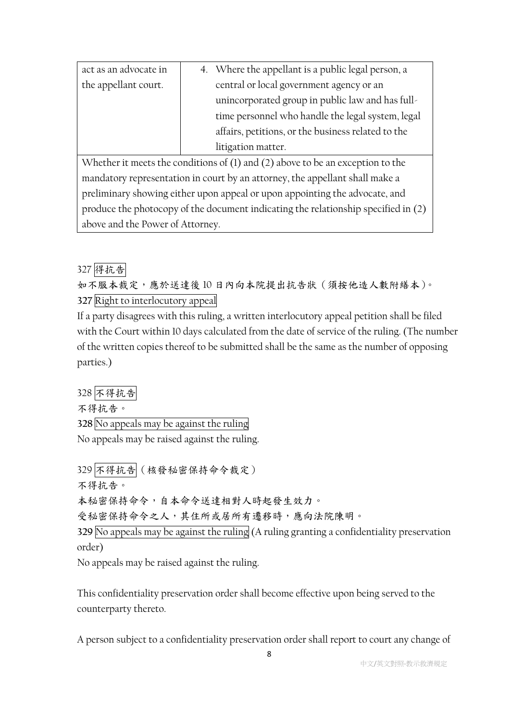| act as an advocate in | 4. Where the appellant is a public legal person, a |
|-----------------------|----------------------------------------------------|
| the appellant court.  | central or local government agency or an           |
|                       | unincorporated group in public law and has full-   |
|                       | time personnel who handle the legal system, legal  |
|                       | affairs, petitions, or the business related to the |
|                       | litigation matter.                                 |

Whether it meets the conditions of (1) and (2) above to be an exception to the mandatory representation in court by an attorney, the appellant shall make a preliminary showing either upon appeal or upon appointing the advocate, and produce the photocopy of the document indicating the relationship specified in (2) above and the Power of Attorney.

327 得抗告

如不服本裁定,應於送達後10日內向本院提出抗告狀(須按他造人數附繕本)。 **327** Right to interlocutory appeal

If a party disagrees with this ruling, a written interlocutory appeal petition shall be filed with the Court within 10 days calculated from the date of service of the ruling. (The number of the written copies thereof to be submitted shall be the same as the number of opposing parties.)

328 不得抗告

不得抗告。

**328** No appeals may be against the ruling

No appeals may be raised against the ruling.

329 不得抗告(核發秘密保持命令裁定)

不得抗告。

本秘密保持命令,自本命令送達相對人時起發生效力。

受秘密保持命令之人,其住所或居所有遷移時,應向法院陳明。

**329** No appeals may be against the ruling (A ruling granting a confidentiality preservation order)

No appeals may be raised against the ruling.

This confidentiality preservation order shall become effective upon being served to the counterparty thereto.

A person subject to a confidentiality preservation order shall report to court any change of